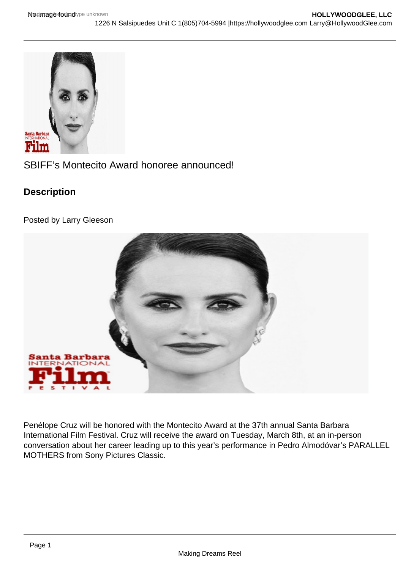## SBIFF's Montecito Award honoree announced!

**Description** 

Posted by Larry Gleeson

Penélope Cruz will be honored with the Montecito Award at the 37th annual Santa Barbara International Film Festival. Cruz will receive the award on Tuesday, March 8th, at an in-person conversation about her career leading up to this year's performance in Pedro Almodóvar's PARALLEL MOTHERS from Sony Pictures Classic.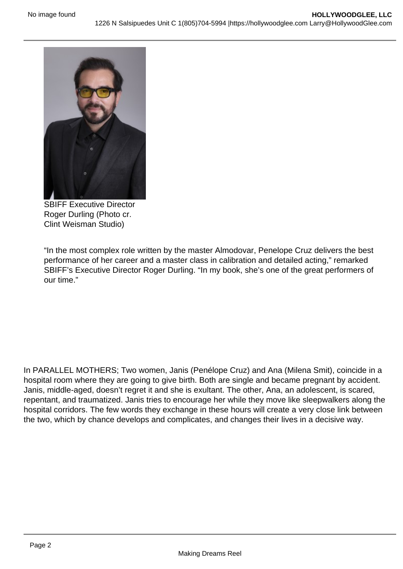SBIFF Executive Director Roger Durling (Photo cr. Clint Weisman Studio)

"In the most complex role written by the master Almodovar, Penelope Cruz delivers the best performance of her career and a master class in calibration and detailed acting," remarked SBIFF's Executive Director Roger Durling. "In my book, she's one of the great performers of our time."

In PARALLEL MOTHERS; Two women, Janis (Penélope Cruz) and Ana (Milena Smit), coincide in a hospital room where they are going to give birth. Both are single and became pregnant by accident. Janis, middle-aged, doesn't regret it and she is exultant. The other, Ana, an adolescent, is scared, repentant, and traumatized. Janis tries to encourage her while they move like sleepwalkers along the hospital corridors. The few words they exchange in these hours will create a very close link between the two, which by chance develops and complicates, and changes their lives in a decisive way.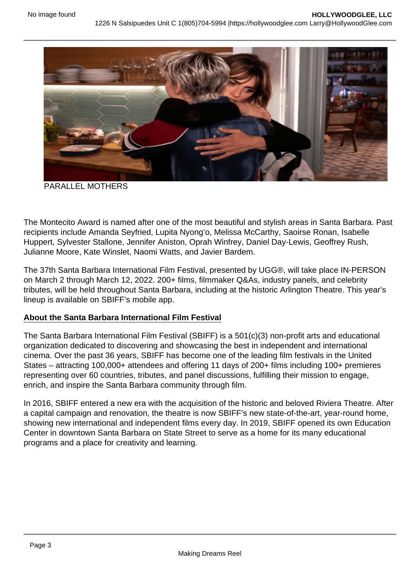## PARALLEL MOTHERS

The Montecito Award is named after one of the most beautiful and stylish areas in Santa Barbara. Past recipients include Amanda Seyfried, Lupita Nyong'o, Melissa McCarthy, Saoirse Ronan, Isabelle Huppert, Sylvester Stallone, Jennifer Aniston, Oprah Winfrey, Daniel Day-Lewis, Geoffrey Rush, Julianne Moore, Kate Winslet, Naomi Watts, and Javier Bardem.

The 37th Santa Barbara International Film Festival, presented by UGG®, will take place IN-PERSON on March 2 through March 12, 2022. 200+ films, filmmaker Q&As, industry panels, and celebrity tributes, will be held throughout Santa Barbara, including at the historic Arlington Theatre. This year's lineup is available on SBIFF's mobile app.

## About the Santa Barbara International Film Festival

The Santa Barbara International Film Festival (SBIFF) is a 501(c)(3) non-profit arts and educational organization dedicated to discovering and showcasing the best in independent and international cinema. Over the past 36 years, SBIFF has become one of the leading film festivals in the United States – attracting 100,000+ attendees and offering 11 days of 200+ films including 100+ premieres representing over 60 countries, tributes, and panel discussions, fulfilling their mission to engage, enrich, and inspire the Santa Barbara community through film.

In 2016, SBIFF entered a new era with the acquisition of the historic and beloved Riviera Theatre. After a capital campaign and renovation, the theatre is now SBIFF's new state-of-the-art, year-round home, showing new international and independent films every day. In 2019, SBIFF opened its own Education Center in downtown Santa Barbara on State Street to serve as a home for its many educational programs and a place for creativity and learning.